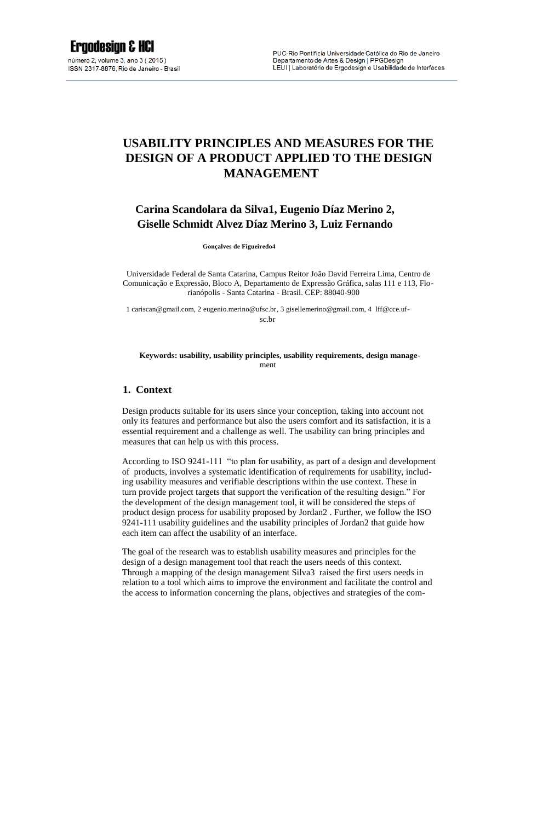# **USABILITY PRINCIPLES AND MEASURES FOR THE DESIGN OF A PRODUCT APPLIED TO THE DESIGN MANAGEMENT**

# **Carina Scandolara da Silva1, Eugenio Díaz Merino 2, Giselle Schmidt Alvez Díaz Merino 3, Luiz Fernando**

**Gonçalves de Figueiredo4** 

Universidade Federal de Santa Catarina, Campus Reitor João David Ferreira Lima, Centro de Comunicação e Expressão, Bloco A, Departamento de Expressão Gráfica, salas 111 e 113, Florianópolis - Santa Catarina - Brasil. CEP: 88040-900

1 cariscan@gmail.com, 2 eugenio.merino@ufsc.br, 3 gisellemerino@gmail.com, 4 lff@cce.ufsc.br

#### **Keywords: usability, usability principles, usability requirements, design manage**ment

## **1. Context**

Design products suitable for its users since your conception, taking into account not only its features and performance but also the users comfort and its satisfaction, it is a essential requirement and a challenge as well. The usability can bring principles and measures that can help us with this process.

According to ISO 9241-111 "to plan for usability, as part of a design and development of products, involves a systematic identification of requirements for usability, including usability measures and verifiable descriptions within the use context. These in turn provide project targets that support the verification of the resulting design." For the development of the design management tool, it will be considered the steps of product design process for usability proposed by Jordan2 . Further, we follow the ISO 9241-111 usability guidelines and the usability principles of Jordan2 that guide how each item can affect the usability of an interface.

The goal of the research was to establish usability measures and principles for the design of a design management tool that reach the users needs of this context. Through a mapping of the design management Silva3 raised the first users needs in relation to a tool which aims to improve the environment and facilitate the control and the access to information concerning the plans, objectives and strategies of the com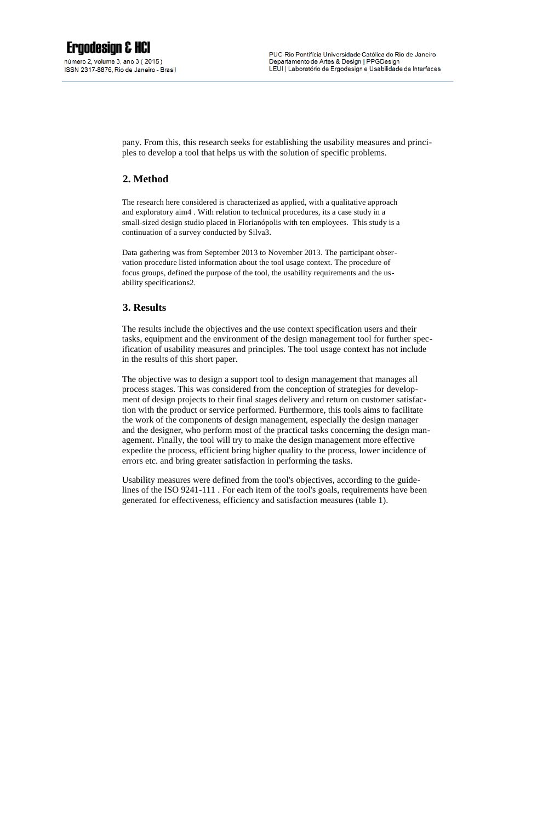pany. From this, this research seeks for establishing the usability measures and principles to develop a tool that helps us with the solution of specific problems.

# **2. Method**

The research here considered is characterized as applied, with a qualitative approach and exploratory aim4 . With relation to technical procedures, its a case study in a small-sized design studio placed in Florianópolis with ten employees. This study is a continuation of a survey conducted by Silva3.

Data gathering was from September 2013 to November 2013. The participant observation procedure listed information about the tool usage context. The procedure of focus groups, defined the purpose of the tool, the usability requirements and the usability specifications2.

# **3. Results**

The results include the objectives and the use context specification users and their tasks, equipment and the environment of the design management tool for further specification of usability measures and principles. The tool usage context has not include in the results of this short paper.

The objective was to design a support tool to design management that manages all process stages. This was considered from the conception of strategies for development of design projects to their final stages delivery and return on customer satisfaction with the product or service performed. Furthermore, this tools aims to facilitate the work of the components of design management, especially the design manager and the designer, who perform most of the practical tasks concerning the design management. Finally, the tool will try to make the design management more effective expedite the process, efficient bring higher quality to the process, lower incidence of errors etc. and bring greater satisfaction in performing the tasks.

Usability measures were defined from the tool's objectives, according to the guidelines of the ISO 9241-111 . For each item of the tool's goals, requirements have been generated for effectiveness, efficiency and satisfaction measures (table 1).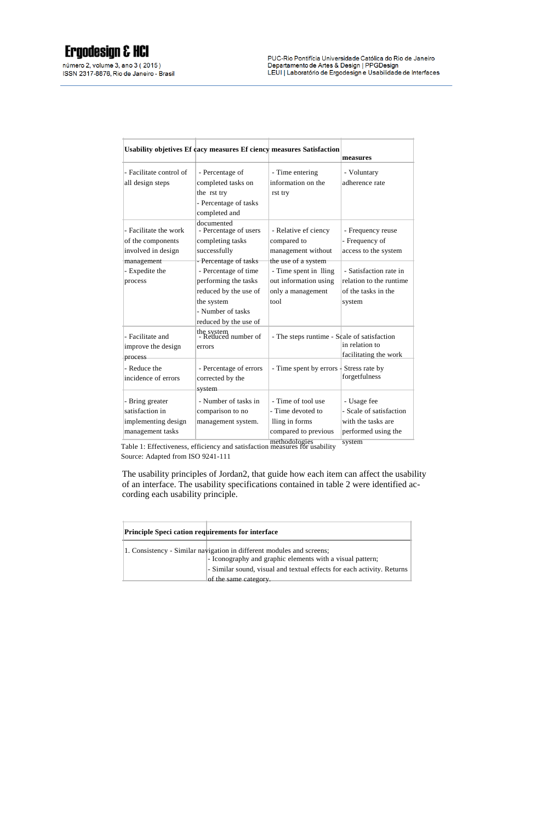número 2, volume 3, ano 3 (2015) ISSN 2317-8876, Rio de Janeiro - Brasil

|                                                                               | Usability objetives Ef cacy measures Ef ciency measures Satisfaction                                                              |                                                                                                       | measures                                                                            |
|-------------------------------------------------------------------------------|-----------------------------------------------------------------------------------------------------------------------------------|-------------------------------------------------------------------------------------------------------|-------------------------------------------------------------------------------------|
| - Facilitate control of<br>all design steps                                   | - Percentage of<br>completed tasks on<br>the rst try                                                                              | - Time entering<br>information on the<br>rst try                                                      | - Voluntary<br>adherence rate                                                       |
|                                                                               | - Percentage of tasks<br>completed and                                                                                            |                                                                                                       |                                                                                     |
| - Facilitate the work<br>of the components<br>involved in design              | documented<br>- Percentage of users<br>completing tasks<br>successfully                                                           | - Relative ef ciency<br>compared to<br>management without                                             | - Frequency reuse<br>- Frequency of<br>access to the system                         |
| management<br>- Expedite the<br>process                                       | - Percentage of tasks<br>- Percentage of time<br>performing the tasks<br>reduced by the use of<br>the system<br>- Number of tasks | the use of a system<br>- Time spent in Iling<br>out information using<br>only a management<br>tool    | - Satisfaction rate in<br>relation to the runtime<br>of the tasks in the<br>system  |
| - Facilitate and<br>improve the design<br>process                             | reduced by the use of<br>the system<br>- Reduced number of<br>errors                                                              | - The steps runtime - Scale of satisfaction                                                           | in relation to<br>facilitating the work                                             |
| - Reduce the<br>incidence of errors                                           | - Percentage of errors<br>corrected by the<br>system                                                                              | - Time spent by errors $\frac{1}{2}$ Stress rate by                                                   | forgetfulness                                                                       |
| - Bring greater<br>satisfaction in<br>implementing design<br>management tasks | - Number of tasks in<br>comparison to no<br>management system.                                                                    | - Time of tool use<br>- Time devoted to<br>lling in forms<br>compared to previous<br>ومنافر والملابين | - Usage fee<br>- Scale of satisfaction<br>with the tasks are<br>performed using the |

**Table 1:** Effectiveness, efficiency and satisfaction measures for usability system

Source: Adapted from ISO 9241-111

The usability principles of Jordan2, that guide how each item can affect the usability of an interface. The usability specifications contained in table 2 were identified according each usability principle.

| <b>Principle Speci cation requirements for interface</b> |                                                                                                                                    |
|----------------------------------------------------------|------------------------------------------------------------------------------------------------------------------------------------|
|                                                          | 1. Consistency - Similar navigation in different modules and screens;<br>- Iconography and graphic elements with a visual pattern; |
|                                                          | - Similar sound, visual and textual effects for each activity. Returns<br>of the same category.                                    |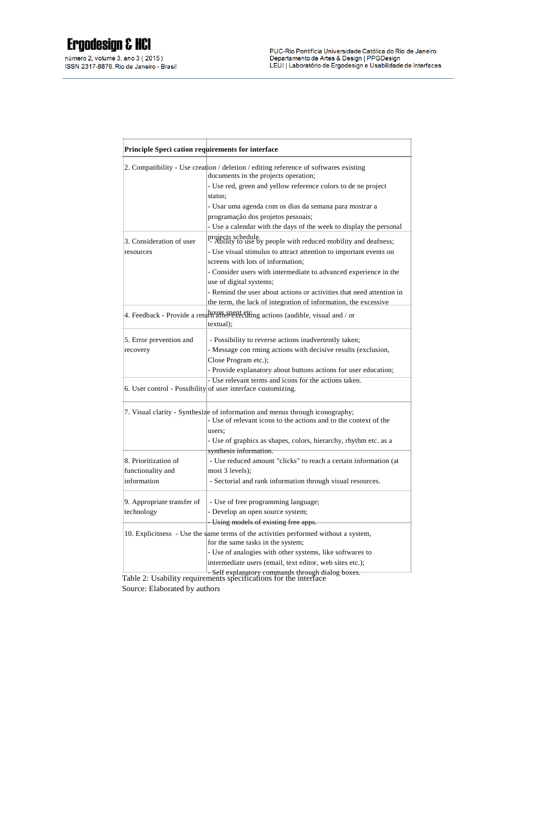| <b>Principle Speci cation requirements for interface</b> |                                                                                                                                                                                                                                                                                                          |  |  |
|----------------------------------------------------------|----------------------------------------------------------------------------------------------------------------------------------------------------------------------------------------------------------------------------------------------------------------------------------------------------------|--|--|
|                                                          | 2. Compatibility - Use creation / deletion / editing reference of softwares existing<br>documents in the projects operation;<br>- Use red, green and yellow reference colors to de ne project<br>status;<br>- Usar uma agenda com os dias da semana para mostrar a<br>programação dos projetos pessoais; |  |  |
| 3. Consideration of user<br>resources                    | - Use a calendar with the days of the week to display the personal<br>projects schedule.<br>- Ability to use by people with reduced mobility and deafness;<br>- Use visual stimulus to attract attention to important events on                                                                          |  |  |
|                                                          | screens with lots of information:<br>- Consider users with intermediate to advanced experience in the<br>use of digital systems;<br>- Remind the user about actions or activities that need attention in<br>the term, the lack of integration of information, the excessive                              |  |  |
|                                                          | 4. Feedback - Provide a return after executing actions (audible, visual and / or<br>textual);                                                                                                                                                                                                            |  |  |
| 5. Error prevention and<br>recovery                      | - Possibility to reverse actions inadvertently taken;<br>- Message con rming actions with decisive results (exclusion,<br>Close Program etc.);<br>- Provide explanatory about buttons actions for user education;                                                                                        |  |  |
|                                                          | - Use relevant terms and icons for the actions taken.<br>6. User control - Possibility of user interface customizing.                                                                                                                                                                                    |  |  |
|                                                          | 7. Visual clarity - Synthesize of information and menus through iconography;<br>- Use of relevant icons to the actions and to the context of the<br>users:<br>- Use of graphics as shapes, colors, hierarchy, rhythm etc. as a                                                                           |  |  |
| 8. Prioritization of<br>functionality and<br>information | synthesis information.<br>- Use reduced amount "clicks" to reach a certain information (at<br>most 3 levels);<br>- Sectorial and rank information through visual resources.                                                                                                                              |  |  |
| 9. Appropriate transfer of<br>technology                 | - Use of free programming language;<br>- Develop an open source system;                                                                                                                                                                                                                                  |  |  |
|                                                          | - Using models of existing free apps.<br>10. Explicitness - Use the same terms of the activities performed without a system,<br>for the same tasks in the system;<br>- Use of analogies with other systems, like softwares to<br>intermediate users (email, text editor, web sites etc.);                |  |  |

- Self explanatory commands through dialog boxes. Table 2: Usability requirements specifications for the interface Source: Elaborated by authors